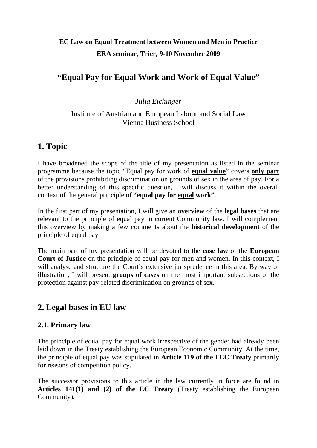# **EC Law on Equal Treatment between Women and Men in Practice ERA seminar, Trier, 9-10 November 2009**

# **"Equal Pay for Equal Work and Work of Equal Value"**

#### *Julia Eichinger*

#### Institute of Austrian and European Labour and Social Law Vienna Business School

### **1. Topic**

I have broadened the scope of the title of my presentation as listed in the seminar programme because the topic "Equal pay for work of **equal value**" covers **only part** of the provisions prohibiting discrimination on grounds of sex in the area of pay. For a better understanding of this specific question, I will discuss it within the overall context of the general principle of **"equal pay for equal work"**.

In the first part of my presentation, I will give an **overview** of the **legal bases** that are relevant to the principle of equal pay in current Community law. I will complement this overview by making a few comments about the **historical development** of the principle of equal pay.

The main part of my presentation will be devoted to the **case law** of the **European Court of Justice** on the principle of equal pay for men and women. In this context, I will analyse and structure the Court's extensive jurisprudence in this area. By way of illustration, I will present **groups of cases** on the most important subsections of the protection against pay-related discrimination on grounds of sex.

## **2. Legal bases in EU law**

#### **2.1. Primary law**

The principle of equal pay for equal work irrespective of the gender had already been laid down in the Treaty establishing the European Economic Community. At the time, the principle of equal pay was stipulated in **Article 119 of the EEC Treaty** primarily for reasons of competition policy.

The successor provisions to this article in the law currently in force are found in **Articles 141(1) and (2) of the EC Treaty** (Treaty establishing the European Community).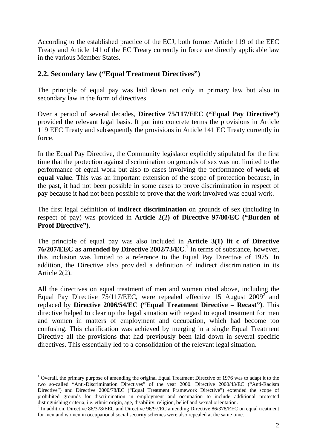According to the established practice of the ECJ, both former Article 119 of the EEC Treaty and Article 141 of the EC Treaty currently in force are directly applicable law in the various Member States.

#### **2.2. Secondary law ("Equal Treatment Directives")**

The principle of equal pay was laid down not only in primary law but also in secondary law in the form of directives.

Over a period of several decades, **Directive 75/117/EEC ("Equal Pay Directive")** provided the relevant legal basis. It put into concrete terms the provisions in Article 119 EEC Treaty and subsequently the provisions in Article 141 EC Treaty currently in force.

In the Equal Pay Directive, the Community legislator explicitly stipulated for the first time that the protection against discrimination on grounds of sex was not limited to the performance of equal work but also to cases involving the performance of **work of equal value**. This was an important extension of the scope of protection because, in the past, it had not been possible in some cases to prove discrimination in respect of pay because it had not been possible to prove that the work involved was equal work.

The first legal definition of **indirect discrimination** on grounds of sex (including in respect of pay) was provided in **Article 2(2) of Directive 97/80/EC ("Burden of Proof Directive")**.

The principle of equal pay was also included in **Article 3(1) lit c of Directive 76/207/EEC as amended by Directive 2002/73/EC**. 1 In terms of substance, however, this inclusion was limited to a reference to the Equal Pay Directive of 1975. In addition, the Directive also provided a definition of indirect discrimination in its Article 2(2).

All the directives on equal treatment of men and women cited above, including the Equal Pay Directive  $75/117/EEC$ , were repealed effective 15 August 2009<sup>2</sup> and replaced by **Directive 2006/54/EC ("Equal Treatment Directive – Recast")**. This directive helped to clear up the legal situation with regard to equal treatment for men and women in matters of employment and occupation, which had become too confusing. This clarification was achieved by merging in a single Equal Treatment Directive all the provisions that had previously been laid down in several specific directives. This essentially led to a consolidation of the relevant legal situation.

<sup>1</sup>  $1$  Overall, the primary purpose of amending the original Equal Treatment Directive of 1976 was to adapt it to the two so-called "Anti-Discrimination Directives" of the year 2000. Directive 2000/43/EC ("Anti-Racism Directive") and Directive 2000/78/EC ("Equal Treatment Framework Directive") extended the scope of prohibited grounds for discrimination in employment and occupation to include additional protected distinguishing criteria, i.e. ethnic origin, age, disability, religion, belief and sexual orientation. 2

<sup>&</sup>lt;sup>2</sup> In addition, Directive 86/378/EEC and Directive 96/97/EC amending Directive 86/378/EEC on equal treatment for men and women in occupational social security schemes were also repealed at the same time.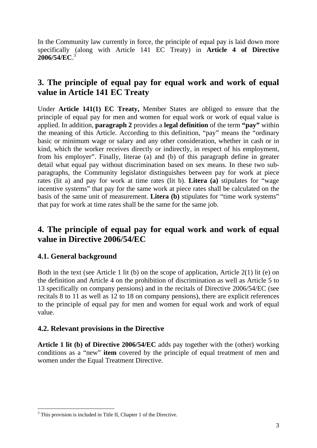In the Community law currently in force, the principle of equal pay is laid down more specifically (along with Article 141 EC Treaty) in **Article 4 of Directive 2006/54/EC**. 3

## **3. The principle of equal pay for equal work and work of equal value in Article 141 EC Treaty**

Under **Article 141(1) EC Treaty,** Member States are obliged to ensure that the principle of equal pay for men and women for equal work or work of equal value is applied. In addition, **paragraph 2** provides a **legal definition** of the term **"pay"** within the meaning of this Article. According to this definition, "pay" means the "ordinary basic or minimum wage or salary and any other consideration, whether in cash or in kind, which the worker receives directly or indirectly, in respect of his employment, from his employer". Finally, literae (a) and (b) of this paragraph define in greater detail what equal pay without discrimination based on sex means. In these two subparagraphs, the Community legislator distinguishes between pay for work at piece rates (lit a) and pay for work at time rates (lit b). **Litera (a)** stipulates for "wage incentive systems" that pay for the same work at piece rates shall be calculated on the basis of the same unit of measurement. **Litera (b)** stipulates for "time work systems" that pay for work at time rates shall be the same for the same job.

## **4. The principle of equal pay for equal work and work of equal value in Directive 2006/54/EC**

### **4.1. General background**

1

Both in the text (see Article 1 lit (b) on the scope of application, Article 2(1) lit (e) on the definition and Article 4 on the prohibition of discrimination as well as Article 5 to 13 specifically on company pensions) and in the recitals of Directive 2006/54/EC (see recitals 8 to 11 as well as 12 to 18 on company pensions), there are explicit references to the principle of equal pay for men and women for equal work and work of equal value.

#### **4.2. Relevant provisions in the Directive**

**Article 1 lit (b) of Directive 2006/54/EC** adds pay together with the (other) working conditions as a "new" **item** covered by the principle of equal treatment of men and women under the Equal Treatment Directive.

<sup>&</sup>lt;sup>3</sup> This provision is included in Title II, Chapter 1 of the Directive.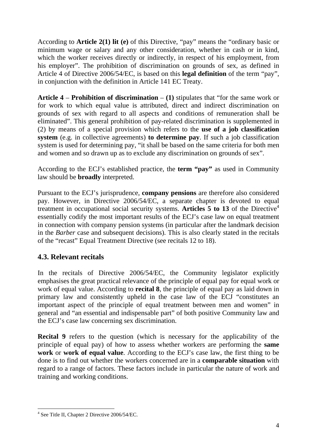According to **Article 2(1) lit (e)** of this Directive, "pay" means the "ordinary basic or minimum wage or salary and any other consideration, whether in cash or in kind, which the worker receives directly or indirectly, in respect of his employment, from his employer". The prohibition of discrimination on grounds of sex, as defined in Article 4 of Directive 2006/54/EC, is based on this **legal definition** of the term "pay", in conjunction with the definition in Article 141 EC Treaty.

**Article 4** – **Prohibition of discrimination** – **(1)** stipulates that "for the same work or for work to which equal value is attributed, direct and indirect discrimination on grounds of sex with regard to all aspects and conditions of remuneration shall be eliminated". This general prohibition of pay-related discrimination is supplemented in (2) by means of a special provision which refers to the **use of a job classification system** (e.g. in collective agreements) **to determine pay**. If such a job classification system is used for determining pay, "it shall be based on the same criteria for both men and women and so drawn up as to exclude any discrimination on grounds of sex".

According to the ECJ's established practice, the **term "pay"** as used in Community law should be **broadly** interpreted.

Pursuant to the ECJ's jurisprudence, **company pensions** are therefore also considered pay. However, in Directive 2006/54/EC, a separate chapter is devoted to equal treatment in occupational social security systems. **Articles 5 to 13** of the Directive<sup>4</sup> essentially codify the most important results of the ECJ's case law on equal treatment in connection with company pension systems (in particular after the landmark decision in the *Barber* case and subsequent decisions). This is also clearly stated in the recitals of the "recast" Equal Treatment Directive (see recitals 12 to 18).

### **4.3. Relevant recitals**

In the recitals of Directive 2006/54/EC, the Community legislator explicitly emphasises the great practical relevance of the principle of equal pay for equal work or work of equal value. According to **recital 8**, the principle of equal pay as laid down in primary law and consistently upheld in the case law of the ECJ "constitutes an important aspect of the principle of equal treatment between men and women" in general and "an essential and indispensable part" of both positive Community law and the ECJ's case law concerning sex discrimination.

**Recital 9** refers to the question (which is necessary for the applicability of the principle of equal pay) of how to assess whether workers are performing the **same work** or **work of equal value**. According to the ECJ's case law, the first thing to be done is to find out whether the workers concerned are in a **comparable situation** with regard to a range of factors. These factors include in particular the nature of work and training and working conditions.

<sup>1</sup> 4 See Title II, Chapter 2 Directive 2006/54/EC.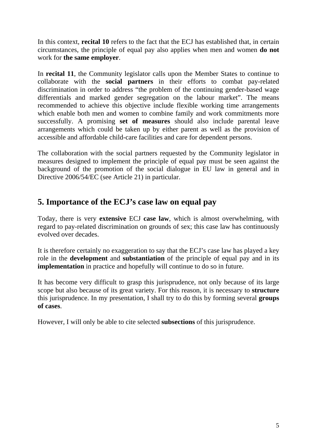In this context, **recital 10** refers to the fact that the ECJ has established that, in certain circumstances, the principle of equal pay also applies when men and women **do not** work for **the same employer**.

In **recital 11**, the Community legislator calls upon the Member States to continue to collaborate with the **social partners** in their efforts to combat pay-related discrimination in order to address "the problem of the continuing gender-based wage differentials and marked gender segregation on the labour market". The means recommended to achieve this objective include flexible working time arrangements which enable both men and women to combine family and work commitments more successfully. A promising **set of measures** should also include parental leave arrangements which could be taken up by either parent as well as the provision of accessible and affordable child-care facilities and care for dependent persons.

The collaboration with the social partners requested by the Community legislator in measures designed to implement the principle of equal pay must be seen against the background of the promotion of the social dialogue in EU law in general and in Directive 2006/54/EC (see Article 21) in particular.

## **5. Importance of the ECJ's case law on equal pay**

Today, there is very **extensive** ECJ **case law**, which is almost overwhelming, with regard to pay-related discrimination on grounds of sex; this case law has continuously evolved over decades.

It is therefore certainly no exaggeration to say that the ECJ's case law has played a key role in the **development** and **substantiation** of the principle of equal pay and in its **implementation** in practice and hopefully will continue to do so in future.

It has become very difficult to grasp this jurisprudence, not only because of its large scope but also because of its great variety. For this reason, it is necessary to **structure** this jurisprudence. In my presentation, I shall try to do this by forming several **groups of cases**.

However, I will only be able to cite selected **subsections** of this jurisprudence.